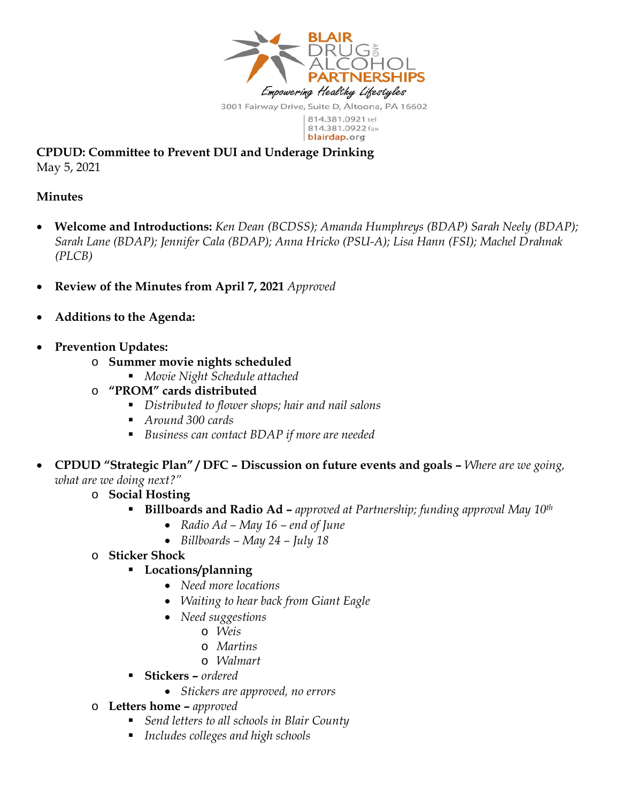

814.381.0922 fax blairdap.org

**CPDUD: Committee to Prevent DUI and Underage Drinking**  May 5, 2021

## **Minutes**

- **Welcome and Introductions:** *Ken Dean (BCDSS); Amanda Humphreys (BDAP) Sarah Neely (BDAP); Sarah Lane (BDAP); Jennifer Cala (BDAP); Anna Hricko (PSU-A); Lisa Hann (FSI); Machel Drahnak (PLCB)*
- **Review of the Minutes from April 7, 2021** *Approved*
- **Additions to the Agenda:**
- **Prevention Updates:** 
	- o **Summer movie nights scheduled** 
		- *Movie Night Schedule attached*
	- o **"PROM" cards distributed** 
		- *Distributed to flower shops; hair and nail salons*
		- *Around 300 cards*
		- *Business can contact BDAP if more are needed*
- **CPDUD "Strategic Plan" / DFC Discussion on future events and goals** *Where are we going, what are we doing next?"* 
	- o **Social Hosting** 
		- **Billboards and Radio Ad** *approved at Partnership; funding approval May 10th*
			- *Radio Ad May 16 end of June*
			- *Billboards May 24 July 18*
	- o **Sticker Shock**

## **Locations/planning**

- *Need more locations*
- *Waiting to hear back from Giant Eagle*
- *Need suggestions*
	- o *Weis*
	- o *Martins*
	- o *Walmart*
- **Stickers** *ordered* 
	- *Stickers are approved, no errors*
- o **Letters home** *approved*
	- *Send letters to all schools in Blair County*
	- *Includes colleges and high schools*